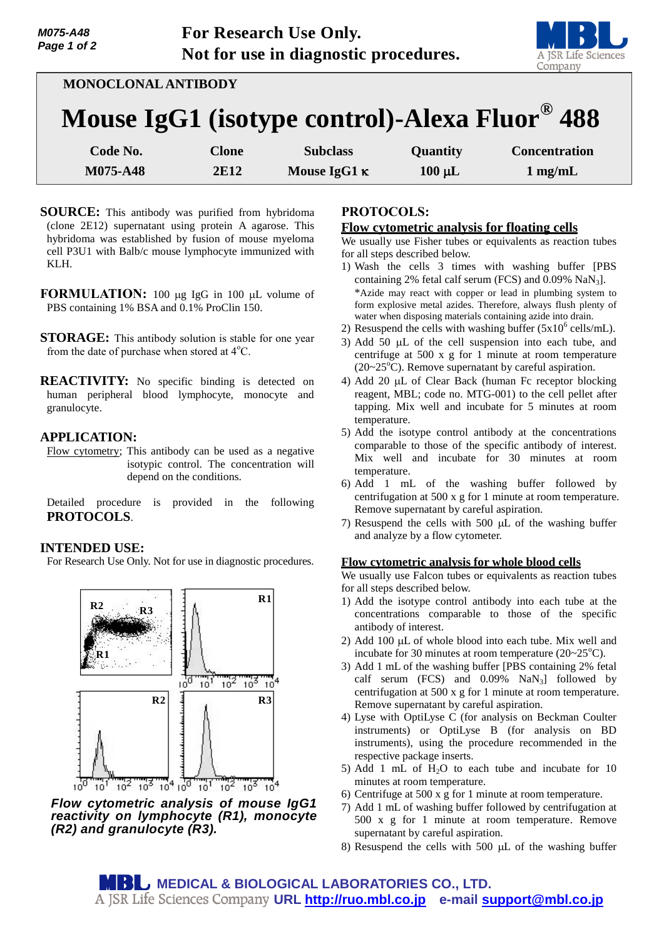

| MONOCLONAL ANTIBODY                           |              |                 |                 |                      |
|-----------------------------------------------|--------------|-----------------|-----------------|----------------------|
| Mouse IgG1 (isotype control)-Alexa Fluor® 488 |              |                 |                 |                      |
| Code No.                                      | <b>Clone</b> | <b>Subclass</b> | <b>Quantity</b> | <b>Concentration</b> |

**M075-A48 2E12 Mouse IgG1 c 100**  $\mu$ **L 1** mg/mL

- **SOURCE:** This antibody was purified from hybridoma (clone 2E12) supernatant using protein A agarose. This hybridoma was established by fusion of mouse myeloma cell P3U1 with Balb/c mouse lymphocyte immunized with KLH.
- **FORMULATION:** 100 µg IgG in 100 µL volume of PBS containing 1% BSA and 0.1% ProClin 150.
- **STORAGE:** This antibody solution is stable for one year from the date of purchase when stored at  $4^{\circ}$ C.
- **REACTIVITY:** No specific binding is detected on human peripheral blood lymphocyte, monocyte and granulocyte.

# **APPLICATION:**

Flow cytometry; This antibody can be used as a negative isotypic control. The concentration will depend on the conditions.

Detailed procedure is provided in the following **PROTOCOLS**.

# **INTENDED USE:**

For Research Use Only. Not for use in diagnostic procedures.



*Flow cytometric analysis of mouse IgG1 reactivity on lymphocyte (R1), monocyte (R2) and granulocyte (R3).*

# **PROTOCOLS:**

### **Flow cytometric analysis for floating cells**

We usually use Fisher tubes or equivalents as reaction tubes for all steps described below.

- 1) Wash the cells 3 times with washing buffer [PBS containing 2% fetal calf serum (FCS) and  $0.09\%$  NaN<sub>3</sub>]. \*Azide may react with copper or lead in plumbing system to form explosive metal azides. Therefore, always flush plenty of water when disposing materials containing azide into drain.
- 2) Resuspend the cells with washing buffer  $(5x10^6 \text{ cells/mL})$ .
- 3) Add 50  $\mu$ L of the cell suspension into each tube, and centrifuge at 500 x g for 1 minute at room temperature  $(20~25<sup>o</sup>C)$ . Remove supernatant by careful aspiration.
- 4) Add 20  $\mu$ L of Clear Back (human Fc receptor blocking reagent, MBL; code no. MTG-001) to the cell pellet after tapping. Mix well and incubate for 5 minutes at room temperature.
- 5) Add the isotype control antibody at the concentrations comparable to those of the specific antibody of interest. Mix well and incubate for 30 minutes at room temperature.
- 6) Add 1 mL of the washing buffer followed by centrifugation at 500 x g for 1 minute at room temperature. Remove supernatant by careful aspiration.
- 7) Resuspend the cells with  $500 \mu L$  of the washing buffer and analyze by a flow cytometer.

#### **Flow cytometric analysis for whole blood cells**

We usually use Falcon tubes or equivalents as reaction tubes for all steps described below.

- 1) Add the isotype control antibody into each tube at the concentrations comparable to those of the specific antibody of interest.
- 2) Add 100  $\mu$ L of whole blood into each tube. Mix well and incubate for 30 minutes at room temperature  $(20~25^{\circ}C)$ .
- 3) Add 1 mL of the washing buffer [PBS containing 2% fetal calf serum  $(FCS)$  and  $0.09\%$  NaN<sub>3</sub>] followed by centrifugation at 500 x g for 1 minute at room temperature. Remove supernatant by careful aspiration.
- 4) Lyse with OptiLyse C (for analysis on Beckman Coulter instruments) or OptiLyse B (for analysis on BD instruments), using the procedure recommended in the respective package inserts.
- 5) Add 1 mL of  $H_2O$  to each tube and incubate for 10 minutes at room temperature.
- 6) Centrifuge at 500 x g for 1 minute at room temperature.
- 7) Add 1 mL of washing buffer followed by centrifugation at 500 x g for 1 minute at room temperature. Remove supernatant by careful aspiration.
- 8) Resuspend the cells with 500  $\mu$ L of the washing buffer